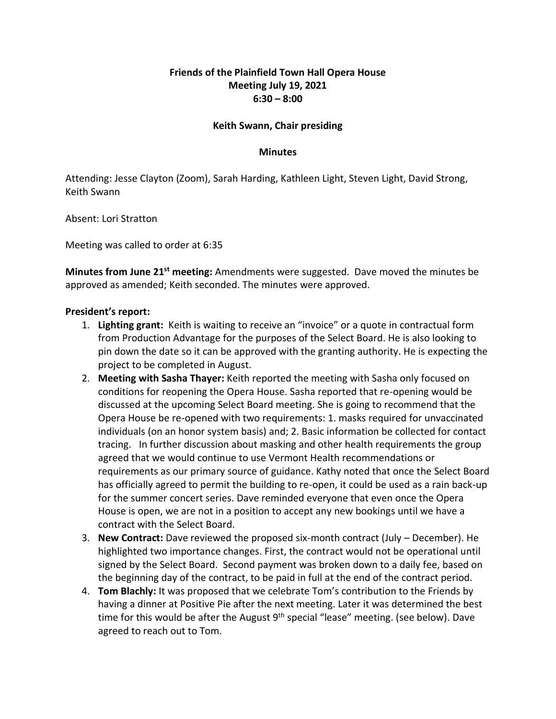## **Friends of the Plainfield Town Hall Opera House Meeting July 19, 2021 6:30 – 8:00**

## **Keith Swann, Chair presiding**

## **Minutes**

Attending: Jesse Clayton (Zoom), Sarah Harding, Kathleen Light, Steven Light, David Strong, Keith Swann

Absent: Lori Stratton

Meeting was called to order at 6:35

**Minutes from June 21st meeting:** Amendments were suggested. Dave moved the minutes be approved as amended; Keith seconded. The minutes were approved.

## **President's report:**

- 1. **Lighting grant:** Keith is waiting to receive an "invoice" or a quote in contractual form from Production Advantage for the purposes of the Select Board. He is also looking to pin down the date so it can be approved with the granting authority. He is expecting the project to be completed in August.
- 2. **Meeting with Sasha Thayer:** Keith reported the meeting with Sasha only focused on conditions for reopening the Opera House. Sasha reported that re-opening would be discussed at the upcoming Select Board meeting. She is going to recommend that the Opera House be re-opened with two requirements: 1. masks required for unvaccinated individuals (on an honor system basis) and; 2. Basic information be collected for contact tracing. In further discussion about masking and other health requirements the group agreed that we would continue to use Vermont Health recommendations or requirements as our primary source of guidance. Kathy noted that once the Select Board has officially agreed to permit the building to re-open, it could be used as a rain back-up for the summer concert series. Dave reminded everyone that even once the Opera House is open, we are not in a position to accept any new bookings until we have a contract with the Select Board.
- 3. **New Contract:** Dave reviewed the proposed six-month contract (July December). He highlighted two importance changes. First, the contract would not be operational until signed by the Select Board. Second payment was broken down to a daily fee, based on the beginning day of the contract, to be paid in full at the end of the contract period.
- 4. **Tom Blachly:** It was proposed that we celebrate Tom's contribution to the Friends by having a dinner at Positive Pie after the next meeting. Later it was determined the best time for this would be after the August  $9<sup>th</sup>$  special "lease" meeting. (see below). Dave agreed to reach out to Tom.